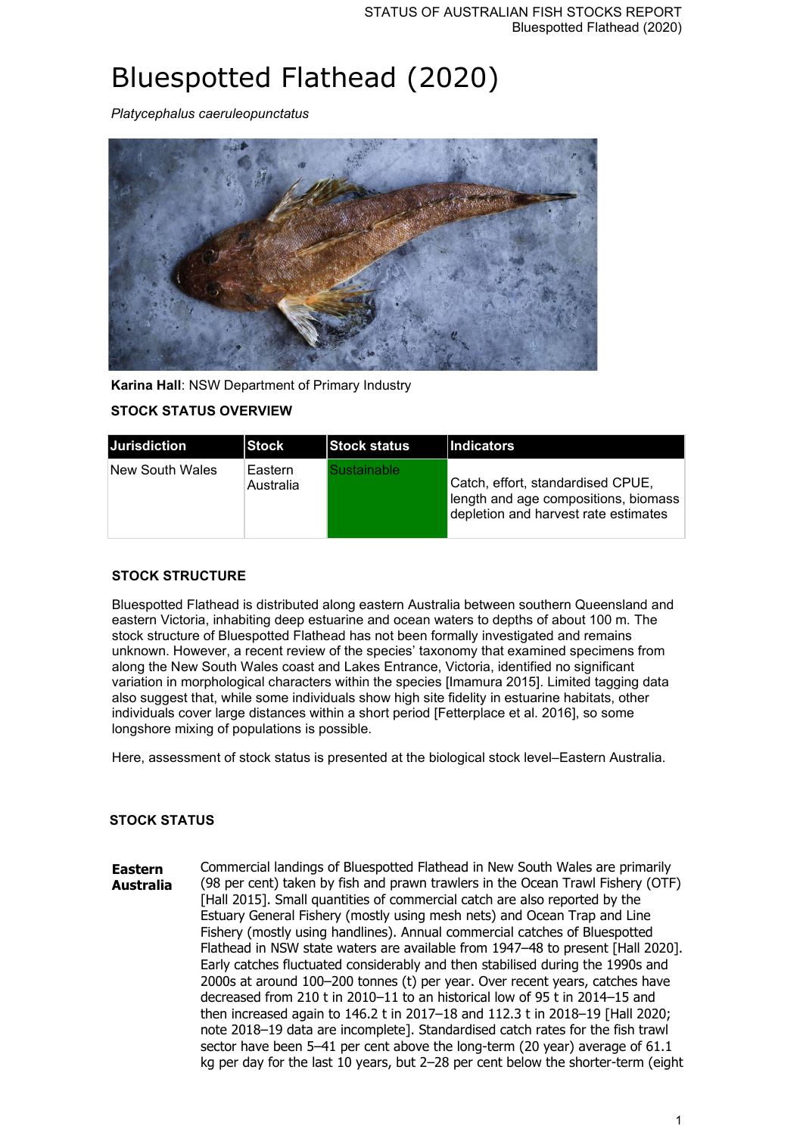# Bluespotted Flathead (2020)

*Platycephalus caeruleopunctatus*



**Karina Hall**: NSW Department of Primary Industry

## **STOCK STATUS OVERVIEW**

| IJurisdiction   | <b>Stock</b>         | <b>Stock status</b>      | <b>Indicators</b>                                                                                                 |
|-----------------|----------------------|--------------------------|-------------------------------------------------------------------------------------------------------------------|
| New South Wales | Eastern<br>Australia | Sustainable <sup>r</sup> | Catch, effort, standardised CPUE,<br>length and age compositions, biomass<br>depletion and harvest rate estimates |

#### **STOCK STRUCTURE**

Bluespotted Flathead is distributed along eastern Australia between southern Queensland and eastern Victoria, inhabiting deep estuarine and ocean waters to depths of about 100 m. The stock structure of Bluespotted Flathead has not been formally investigated and remains unknown. However, a recent review of the species' taxonomy that examined specimens from along the New South Wales coast and Lakes Entrance, Victoria, identified no significant variation in morphological characters within the species [Imamura 2015]. Limited tagging data also suggest that, while some individuals show high site fidelity in estuarine habitats, other individuals cover large distances within a short period [Fetterplace et al. 2016], so some longshore mixing of populations is possible.

Here, assessment of stock status is presented at the biological stock level–Eastern Australia.

#### **STOCK STATUS**

**Eastern Australia** Commercial landings of Bluespotted Flathead in New South Wales are primarily (98 per cent) taken by fish and prawn trawlers in the Ocean Trawl Fishery (OTF) [Hall 2015]. Small quantities of commercial catch are also reported by the Estuary General Fishery (mostly using mesh nets) and Ocean Trap and Line Fishery (mostly using handlines). Annual commercial catches of Bluespotted Flathead in NSW state waters are available from 1947–48 to present [Hall 2020]. Early catches fluctuated considerably and then stabilised during the 1990s and 2000s at around 100–200 tonnes (t) per year. Over recent years, catches have decreased from 210 t in 2010–11 to an historical low of 95 t in 2014–15 and then increased again to 146.2 t in 2017–18 and 112.3 t in 2018–19 [Hall 2020; note 2018–19 data are incomplete]. Standardised catch rates for the fish trawl sector have been 5–41 per cent above the long-term (20 year) average of 61.1 kg per day for the last 10 years, but 2–28 per cent below the shorter-term (eight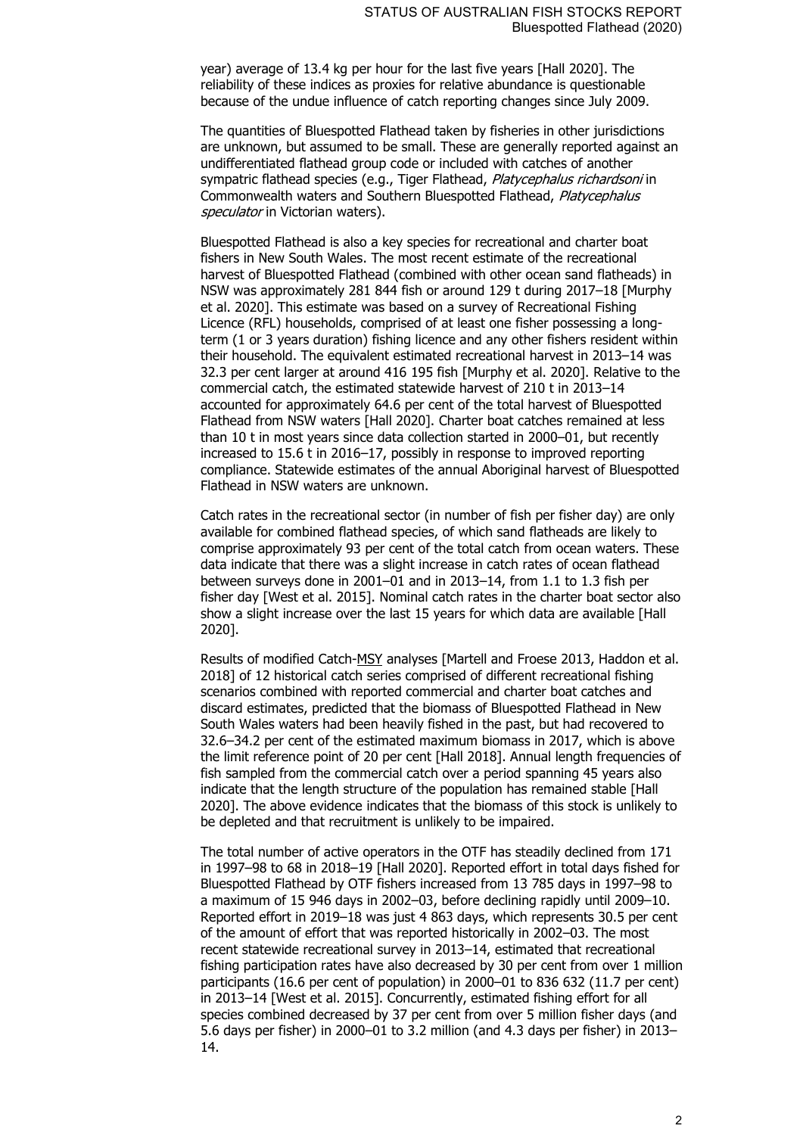year) average of 13.4 kg per hour for the last five years [Hall 2020]. The reliability of these indices as proxies for relative abundance is questionable because of the undue influence of catch reporting changes since July 2009.

The quantities of Bluespotted Flathead taken by fisheries in other jurisdictions are unknown, but assumed to be small. These are generally reported against an undifferentiated flathead group code or included with catches of another sympatric flathead species (e.g., Tiger Flathead, Platycephalus richardsoni in Commonwealth waters and Southern Bluespotted Flathead, Platycephalus speculator in Victorian waters).

Bluespotted Flathead is also a key species for recreational and charter boat fishers in New South Wales. The most recent estimate of the recreational harvest of Bluespotted Flathead (combined with other ocean sand flatheads) in NSW was approximately 281 844 fish or around 129 t during 2017–18 [Murphy et al. 2020]. This estimate was based on a survey of Recreational Fishing Licence (RFL) households, comprised of at least one fisher possessing a longterm (1 or 3 years duration) fishing licence and any other fishers resident within their household. The equivalent estimated recreational harvest in 2013–14 was 32.3 per cent larger at around 416 195 fish [Murphy et al. 2020]. Relative to the commercial catch, the estimated statewide harvest of 210 t in 2013–14 accounted for approximately 64.6 per cent of the total harvest of Bluespotted Flathead from NSW waters [Hall 2020]. Charter boat catches remained at less than 10 t in most years since data collection started in 2000–01, but recently increased to 15.6 t in 2016–17, possibly in response to improved reporting compliance. Statewide estimates of the annual Aboriginal harvest of Bluespotted Flathead in NSW waters are unknown.

Catch rates in the recreational sector (in number of fish per fisher day) are only available for combined flathead species, of which sand flatheads are likely to comprise approximately 93 per cent of the total catch from ocean waters. These data indicate that there was a slight increase in catch rates of ocean flathead between surveys done in 2001–01 and in 2013–14, from 1.1 to 1.3 fish per fisher day [West et al. 2015]. Nominal catch rates in the charter boat sector also show a slight increase over the last 15 years for which data are available [Hall 2020].

Results of modified Catch-MSY analyses [Martell and Froese 2013, Haddon et al. 2018] of 12 historical catch series comprised of different recreational fishing scenarios combined with reported commercial and charter boat catches and discard estimates, predicted that the biomass of Bluespotted Flathead in New South Wales waters had been heavily fished in the past, but had recovered to 32.6–34.2 per cent of the estimated maximum biomass in 2017, which is above the limit reference point of 20 per cent [Hall 2018]. Annual length frequencies of fish sampled from the commercial catch over a period spanning 45 years also indicate that the length structure of the population has remained stable [Hall 2020]. The above evidence indicates that the biomass of this stock is unlikely to be depleted and that recruitment is unlikely to be impaired.

The total number of active operators in the OTF has steadily declined from 171 in 1997–98 to 68 in 2018–19 [Hall 2020]. Reported effort in total days fished for Bluespotted Flathead by OTF fishers increased from 13 785 days in 1997–98 to a maximum of 15 946 days in 2002–03, before declining rapidly until 2009–10. Reported effort in 2019–18 was just 4 863 days, which represents 30.5 per cent of the amount of effort that was reported historically in 2002–03. The most recent statewide recreational survey in 2013–14, estimated that recreational fishing participation rates have also decreased by 30 per cent from over 1 million participants (16.6 per cent of population) in 2000–01 to 836 632 (11.7 per cent) in 2013–14 [West et al. 2015]. Concurrently, estimated fishing effort for all species combined decreased by 37 per cent from over 5 million fisher days (and 5.6 days per fisher) in 2000–01 to 3.2 million (and 4.3 days per fisher) in 2013– 14.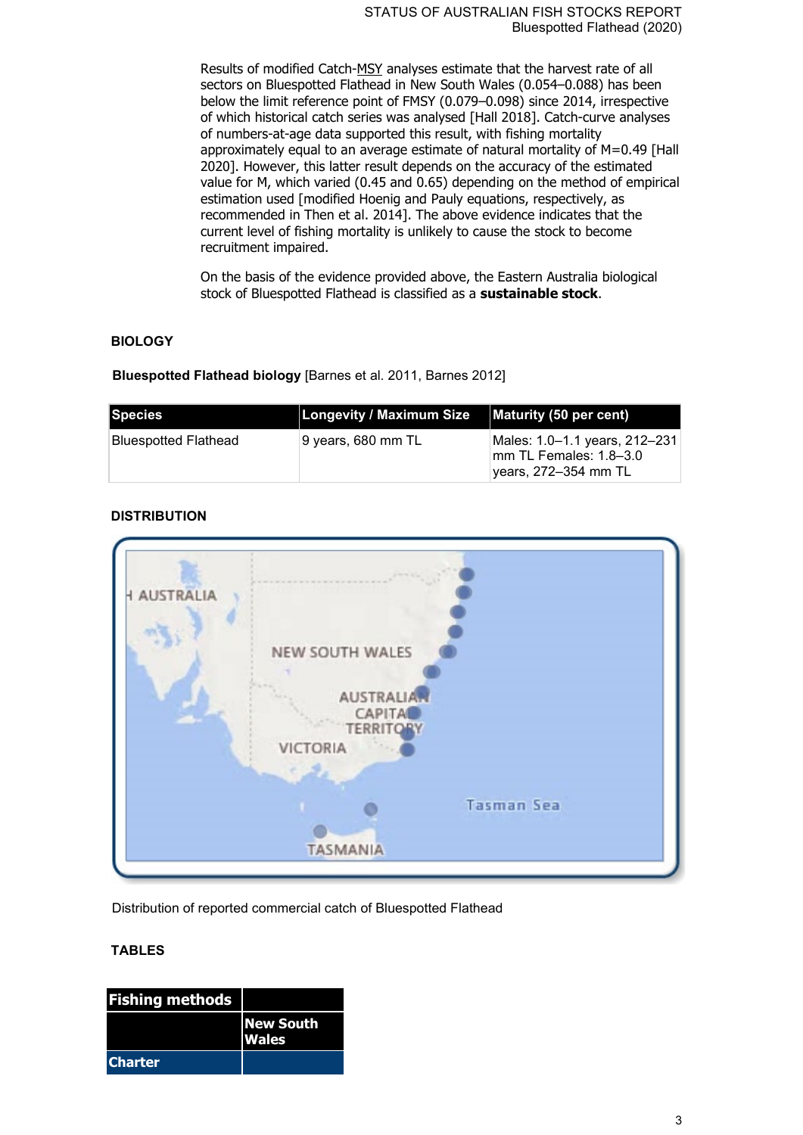Results of modified Catch-MSY analyses estimate that the harvest rate of all sectors on Bluespotted Flathead in New South Wales (0.054–0.088) has been below the limit reference point of FMSY (0.079–0.098) since 2014, irrespective of which historical catch series was analysed [Hall 2018]. Catch-curve analyses of numbers-at-age data supported this result, with fishing mortality approximately equal to an average estimate of natural mortality of M=0.49 [Hall 2020]. However, this latter result depends on the accuracy of the estimated value for M, which varied (0.45 and 0.65) depending on the method of empirical estimation used [modified Hoenig and Pauly equations, respectively, as recommended in Then et al. 2014]. The above evidence indicates that the current level of fishing mortality is unlikely to cause the stock to become recruitment impaired.

On the basis of the evidence provided above, the Eastern Australia biological stock of Bluespotted Flathead is classified as a **sustainable stock**.

#### **BIOLOGY**

**Bluespotted Flathead biology** [Barnes et al. 2011, Barnes 2012]

| <b>Species</b>       | <b>Longevity / Maximum Size</b> | Maturity (50 per cent)                                                           |
|----------------------|---------------------------------|----------------------------------------------------------------------------------|
| Bluespotted Flathead | ∣9 vears, 680 mm TL             | Males: 1.0-1.1 years, 212-231<br>lmm TL Females: 1.8–3.0<br>years, 272–354 mm TL |

## **DISTRIBUTION**



Distribution of reported commercial catch of Bluespotted Flathead

## **TABLES**

| <b>Fishing methods</b> |                                  |
|------------------------|----------------------------------|
|                        | <b>New South</b><br><b>Wales</b> |
| <b>Charter</b>         |                                  |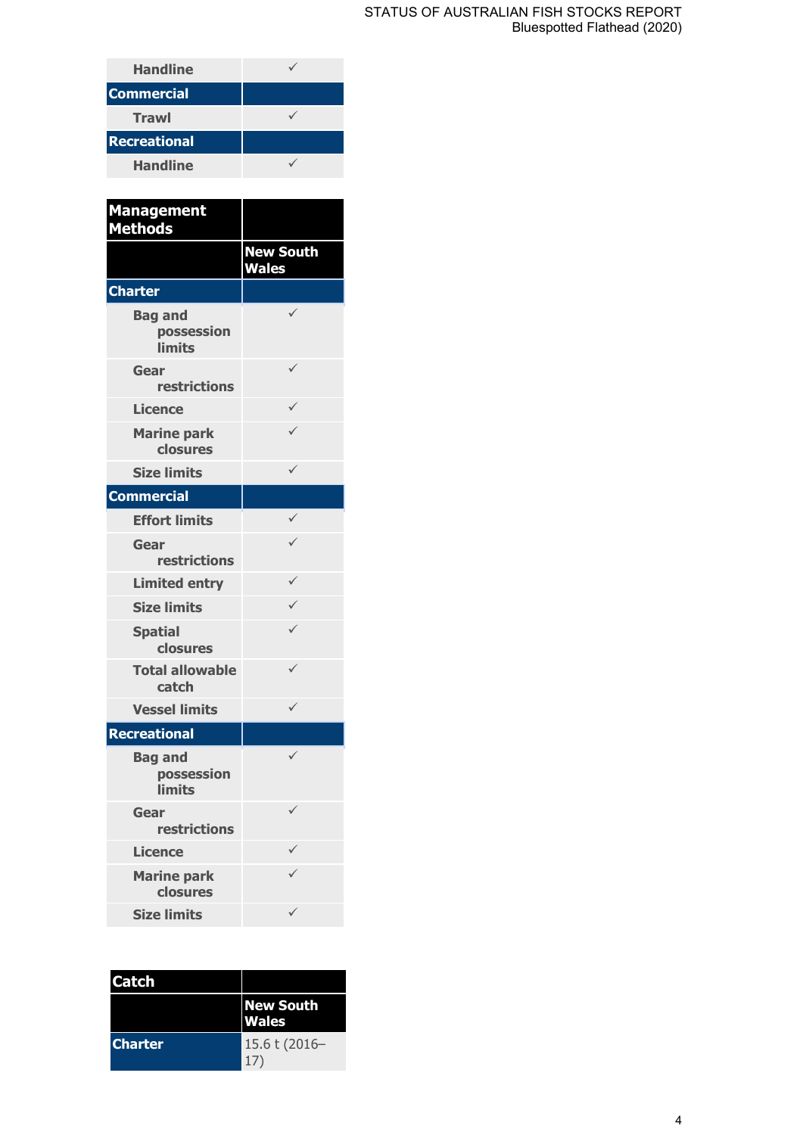#### STATUS OF AUSTRALIAN FISH STOCKS REPORT Bluespotted Flathead (2020)

| <b>Handline</b>     |  |
|---------------------|--|
| <b>Commercial</b>   |  |
| <b>Trawl</b>        |  |
| <b>Recreational</b> |  |
| <b>Handline</b>     |  |

| <b>Management</b><br><b>Methods</b>           |                                  |
|-----------------------------------------------|----------------------------------|
|                                               | <b>New South</b><br><b>Wales</b> |
| <b>Charter</b>                                |                                  |
| <b>Bag and</b><br>possession<br><b>limits</b> | $\checkmark$                     |
| Gear<br>restrictions                          | ✓                                |
| <b>Licence</b>                                | $\checkmark$                     |
| <b>Marine park</b><br>closures                |                                  |
| <b>Size limits</b>                            | ✓                                |
| <b>Commercial</b>                             |                                  |
| <b>Effort limits</b>                          | ✓                                |
| Gear<br>restrictions                          |                                  |
| <b>Limited entry</b>                          | ✓                                |
| <b>Size limits</b>                            | $\checkmark$                     |
| <b>Spatial</b><br>closures                    | ✓                                |
| <b>Total allowable</b><br>catch               | ✓                                |
| <b>Vessel limits</b>                          | $\checkmark$                     |
| <b>Recreational</b>                           |                                  |
| <b>Bag and</b><br>possession<br><b>limits</b> |                                  |
| Gear<br>restrictions                          |                                  |
| <b>Licence</b>                                |                                  |
| <b>Marine park</b><br>closures                |                                  |
| <b>Size limits</b>                            | ✓                                |

| Catch          |                                  |
|----------------|----------------------------------|
|                | <b>New South</b><br><b>Wales</b> |
| <b>Charter</b> | 15.6 t (2016-<br>17'             |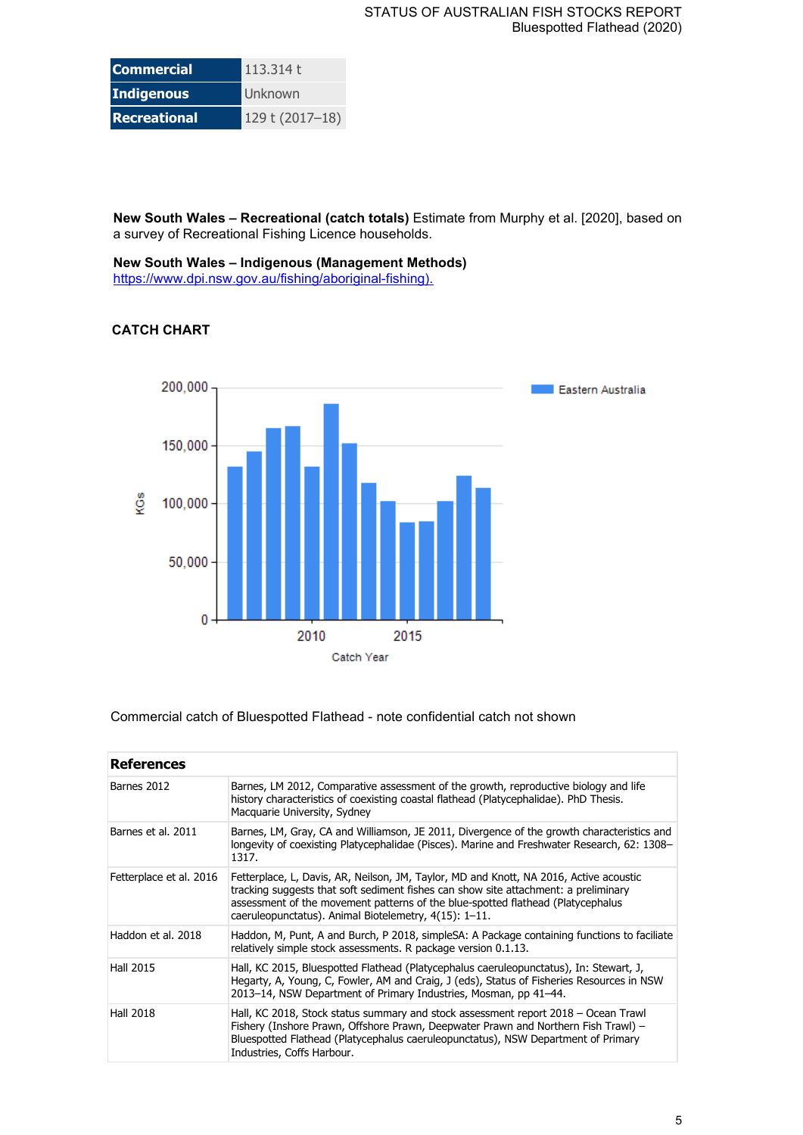| <b>Commercial</b>   | 113.314t        |
|---------------------|-----------------|
| Indigenous          | Unknown         |
| <b>Recreational</b> | 129 t (2017-18) |

**New South Wales – Recreational (catch totals)** Estimate from Murphy et al. [2020], based on a survey of Recreational Fishing Licence households.

**New South Wales – Indigenous (Management Methods)** [https://www.dpi.nsw.gov.au/fishing/aboriginal-fishing\).](https://www.dpi.nsw.gov.au/fishing/aboriginal-fishing)

## **CATCH CHART**



#### Commercial catch of Bluespotted Flathead - note confidential catch not shown

| <b>References</b>       |                                                                                                                                                                                                                                                                                                                           |
|-------------------------|---------------------------------------------------------------------------------------------------------------------------------------------------------------------------------------------------------------------------------------------------------------------------------------------------------------------------|
| Barnes 2012             | Barnes, LM 2012, Comparative assessment of the growth, reproductive biology and life<br>history characteristics of coexisting coastal flathead (Platycephalidae). PhD Thesis.<br>Macquarie University, Sydney                                                                                                             |
| Barnes et al. 2011      | Barnes, LM, Gray, CA and Williamson, JE 2011, Divergence of the growth characteristics and<br>longevity of coexisting Platycephalidae (Pisces). Marine and Freshwater Research, 62: 1308–<br>1317.                                                                                                                        |
| Fetterplace et al. 2016 | Fetterplace, L, Davis, AR, Neilson, JM, Taylor, MD and Knott, NA 2016, Active acoustic<br>tracking suggests that soft sediment fishes can show site attachment: a preliminary<br>assessment of the movement patterns of the blue-spotted flathead (Platycephalus<br>caeruleopunctatus). Animal Biotelemetry, 4(15): 1-11. |
| Haddon et al. 2018      | Haddon, M, Punt, A and Burch, P 2018, simpleSA: A Package containing functions to faciliate<br>relatively simple stock assessments. R package version 0.1.13.                                                                                                                                                             |
| <b>Hall 2015</b>        | Hall, KC 2015, Bluespotted Flathead (Platycephalus caeruleopunctatus), In: Stewart, J,<br>Hegarty, A, Young, C, Fowler, AM and Craig, J (eds), Status of Fisheries Resources in NSW<br>2013–14, NSW Department of Primary Industries, Mosman, pp 41–44.                                                                   |
| <b>Hall 2018</b>        | Hall, KC 2018, Stock status summary and stock assessment report 2018 – Ocean Trawl<br>Fishery (Inshore Prawn, Offshore Prawn, Deepwater Prawn and Northern Fish Trawl) -<br>Bluespotted Flathead (Platycephalus caeruleopunctatus), NSW Department of Primary<br>Industries, Coffs Harbour.                               |